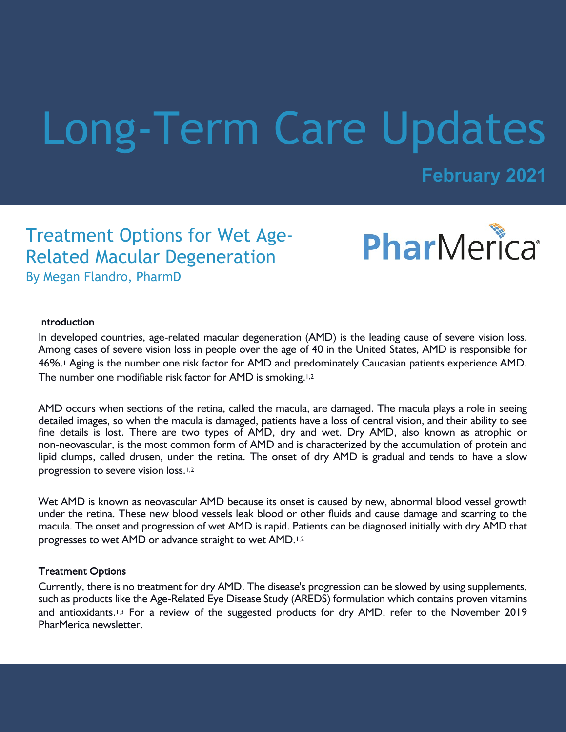# Long-Term Care Updates

**February 2021**

## Treatment Options for Wet Age-Related Macular Degeneration By Megan Flandro, PharmD



#### Introduction

In developed countries, age-related macular degeneration (AMD) is the leading cause of severe vision loss. Among cases of severe vision loss in people over the age of 40 in the United States, AMD is responsible for 46%.1 Aging is the number one risk factor for AMD and predominately Caucasian patients experience AMD. The number one modifiable risk factor for AMD is smoking.<sup>1,2</sup>

AMD occurs when sections of the retina, called the macula, are damaged. The macula plays a role in seeing detailed images, so when the macula is damaged, patients have a loss of central vision, and their ability to see fine details is lost. There are two types of AMD, dry and wet. Dry AMD, also known as atrophic or non-neovascular, is the most common form of AMD and is characterized by the accumulation of protein and lipid clumps, called drusen, under the retina. The onset of dry AMD is gradual and tends to have a slow progression to severe vision loss.<sup>1,2</sup>

Wet AMD is known as neovascular AMD because its onset is caused by new, abnormal blood vessel growth under the retina. These new blood vessels leak blood or other fluids and cause damage and scarring to the macula. The onset and progression of wet AMD is rapid. Patients can be diagnosed initially with dry AMD that progresses to wet AMD or advance straight to wet AMD.1,2

#### **Treatment Options**

Currently, there is no treatment for dry AMD. The disease's progression can be slowed by using supplements, such as products like the Age-Related Eye Disease Study (AREDS) formulation which contains proven vitamins and antioxidants.<sup>1,3</sup> For a review of the suggested products for dry AMD, refer to the November 2019 PharMerica newsletter.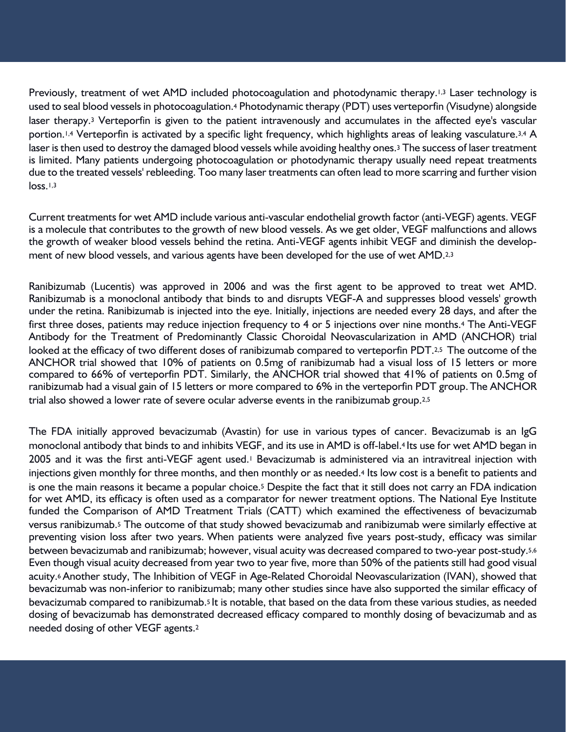Previously, treatment of wet AMD included photocoagulation and photodynamic therapy.<sup>1,3</sup> Laser technology is used to seal blood vessels in photocoagulation.4 Photodynamic therapy (PDT) uses verteporfin (Visudyne) alongside laser therapy.3 Verteporfin is given to the patient intravenously and accumulates in the affected eye's vascular portion.<sup>1,4</sup> Verteporfin is activated by a specific light frequency, which highlights areas of leaking vasculature.<sup>3,4</sup> A laser is then used to destroy the damaged blood vessels while avoiding healthy ones.<sup>3</sup> The success of laser treatment is limited. Many patients undergoing photocoagulation or photodynamic therapy usually need repeat treatments due to the treated vessels' rebleeding. Too many laser treatments can often lead to more scarring and further vision loss.1,3

Current treatments for wet AMD include various anti-vascular endothelial growth factor (anti-VEGF) agents. VEGF is a molecule that contributes to the growth of new blood vessels. As we get older, VEGF malfunctions and allows the growth of weaker blood vessels behind the retina. Anti-VEGF agents inhibit VEGF and diminish the development of new blood vessels, and various agents have been developed for the use of wet AMD.2,3

Ranibizumab (Lucentis) was approved in 2006 and was the first agent to be approved to treat wet AMD. Ranibizumab is a monoclonal antibody that binds to and disrupts VEGF-A and suppresses blood vessels' growth under the retina. Ranibizumab is injected into the eye. Initially, injections are needed every 28 days, and after the first three doses, patients may reduce injection frequency to 4 or 5 injections over nine months.4 The Anti-VEGF Antibody for the Treatment of Predominantly Classic Choroidal Neovascularization in AMD (ANCHOR) trial looked at the efficacy of two different doses of ranibizumab compared to verteporfin PDT.<sup>2,5</sup> The outcome of the ANCHOR trial showed that 10% of patients on 0.5mg of ranibizumab had a visual loss of 15 letters or more compared to 66% of verteporfin PDT. Similarly, the ANCHOR trial showed that 41% of patients on 0.5mg of ranibizumab had a visual gain of 15 letters or more compared to 6% in the verteporfin PDT group.The ANCHOR trial also showed a lower rate of severe ocular adverse events in the ranibizumab group.<sup>2,5</sup>

The FDA initially approved bevacizumab (Avastin) for use in various types of cancer. Bevacizumab is an IgG monoclonal antibody that binds to and inhibits VEGF, and its use in AMD is off-label.<sup>4</sup> Its use for wet AMD began in 2005 and it was the first anti-VEGF agent used.<sup>1</sup> Bevacizumab is administered via an intravitreal injection with injections given monthly for three months, and then monthly or as needed.4 Its low cost is a benefit to patients and is one the main reasons it became a popular choice.5 Despite the fact that it still does not carry an FDA indication for wet AMD, its efficacy is often used as a comparator for newer treatment options. The National Eye Institute funded the Comparison of AMD Treatment Trials (CATT) which examined the effectiveness of bevacizumab versus ranibizumab.5 The outcome of that study showed bevacizumab and ranibizumab were similarly effective at preventing vision loss after two years. When patients were analyzed five years post-study, efficacy was similar between bevacizumab and ranibizumab; however, visual acuity was decreased compared to two-year post-study.5,6 Even though visual acuity decreased from year two to year five, more than 50% of the patients still had good visual acuity.<sup>6</sup> Another study, The Inhibition of VEGF in Age-Related Choroidal Neovascularization (IVAN), showed that bevacizumab was non-inferior to ranibizumab; many other studies since have also supported the similar efficacy of bevacizumab compared to ranibizumab.<sup>5</sup> It is notable, that based on the data from these various studies, as needed dosing of bevacizumab has demonstrated decreased efficacy compared to monthly dosing of bevacizumab and as needed dosing of other VEGF agents.2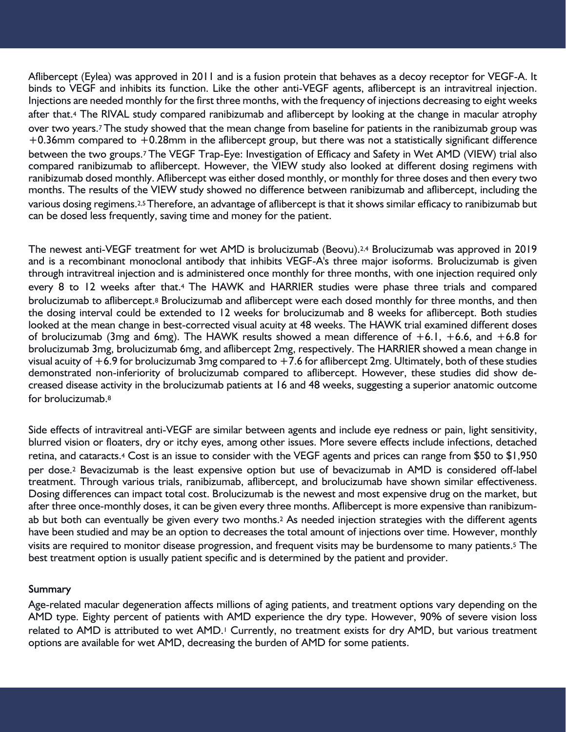Aflibercept (Eylea) was approved in 2011 and is a fusion protein that behaves as a decoy receptor for VEGF-A. It binds to VEGF and inhibits its function. Like the other anti-VEGF agents, aflibercept is an intravitreal injection. Injections are needed monthly for the first three months, with the frequency of injections decreasing to eight weeks after that.4 The RIVAL study compared ranibizumab and aflibercept by looking at the change in macular atrophy over two years.<sup>7</sup> The study showed that the mean change from baseline for patients in the ranibizumab group was  $+0.36$ mm compared to  $+0.28$ mm in the aflibercept group, but there was not a statistically significant difference between the two groups.<sup>7</sup> The VEGF Trap-Eye: Investigation of Efficacy and Safety in Wet AMD (VIEW) trial also compared ranibizumab to aflibercept. However, the VIEW study also looked at different dosing regimens with ranibizumab dosed monthly. Aflibercept was either dosed monthly, or monthly for three doses and then every two months. The results of the VIEW study showed no difference between ranibizumab and aflibercept, including the various dosing regimens.2,5Therefore, an advantage of aflibercept is that it shows similar efficacy to ranibizumab but can be dosed less frequently, saving time and money for the patient.

The newest anti-VEGF treatment for wet AMD is brolucizumab (Beovu).<sup>2,4</sup> Brolucizumab was approved in 2019 and is a recombinant monoclonal antibody that inhibits VEGF-A's three major isoforms. Brolucizumab is given through intravitreal injection and is administered once monthly for three months, with one injection required only every 8 to 12 weeks after that.<sup>4</sup> The HAWK and HARRIER studies were phase three trials and compared brolucizumab to aflibercept.<sup>8</sup> Brolucizumab and aflibercept were each dosed monthly for three months, and then the dosing interval could be extended to 12 weeks for brolucizumab and 8 weeks for aflibercept. Both studies looked at the mean change in best-corrected visual acuity at 48 weeks. The HAWK trial examined different doses of brolucizumab (3mg and 6mg). The HAWK results showed a mean difference of  $+6.1$ ,  $+6.6$ , and  $+6.8$  for brolucizumab 3mg, brolucizumab 6mg, and aflibercept 2mg, respectively. The HARRIER showed a mean change in visual acuity of  $+6.9$  for brolucizumab 3mg compared to  $+7.6$  for aflibercept 2mg. Ultimately, both of these studies demonstrated non-inferiority of brolucizumab compared to aflibercept. However, these studies did show decreased disease activity in the brolucizumab patients at 16 and 48 weeks, suggesting a superior anatomic outcome for brolucizumab.<sup>8</sup>

Side effects of intravitreal anti-VEGF are similar between agents and include eye redness or pain, light sensitivity, blurred vision or floaters, dry or itchy eyes, among other issues. More severe effects include infections, detached retina, and cataracts.4 Cost is an issue to consider with the VEGF agents and prices can range from \$50 to \$1,950 per dose.2 Bevacizumab is the least expensive option but use of bevacizumab in AMD is considered off-label treatment. Through various trials, ranibizumab, aflibercept, and brolucizumab have shown similar effectiveness. Dosing differences can impact total cost. Brolucizumab is the newest and most expensive drug on the market, but after three once-monthly doses, it can be given every three months. Aflibercept is more expensive than ranibizumab but both can eventually be given every two months.<sup>2</sup> As needed injection strategies with the different agents have been studied and may be an option to decreases the total amount of injections over time. However, monthly visits are required to monitor disease progression, and frequent visits may be burdensome to many patients.5 The best treatment option is usually patient specific and is determined by the patient and provider.

### Summary

Age-related macular degeneration affects millions of aging patients, and treatment options vary depending on the AMD type. Eighty percent of patients with AMD experience the dry type. However, 90% of severe vision loss related to AMD is attributed to wet AMD.<sup>1</sup> Currently, no treatment exists for dry AMD, but various treatment options are available for wet AMD, decreasing the burden of AMD for some patients.